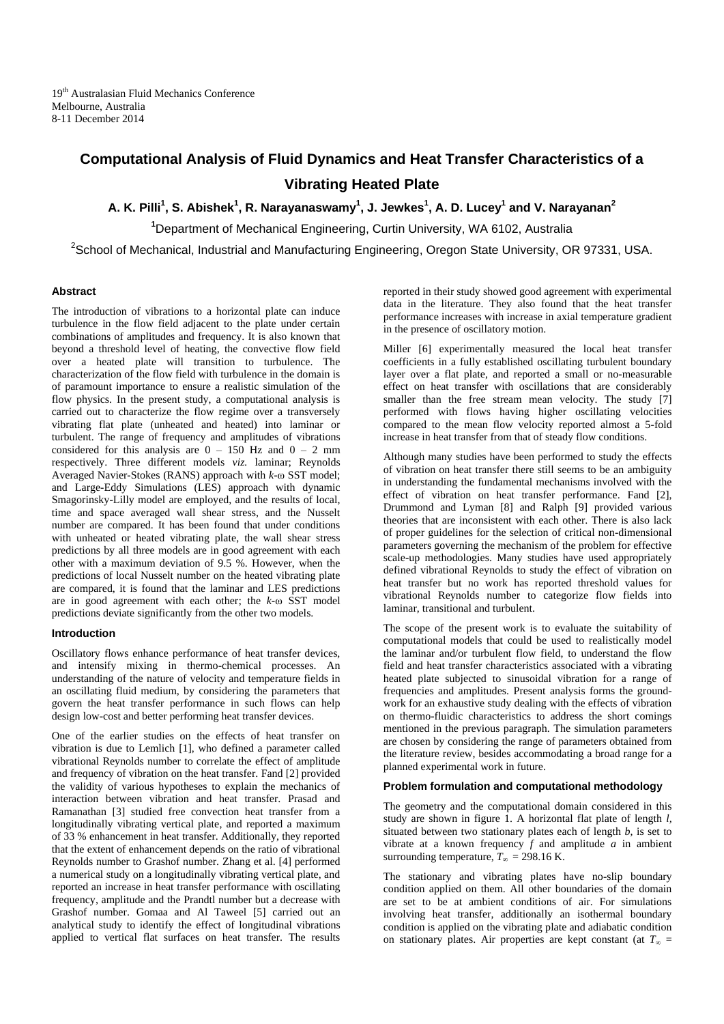# **Computational Analysis of Fluid Dynamics and Heat Transfer Characteristics of a Vibrating Heated Plate**

# **A. K. Pilli<sup>1</sup> , S. Abishek<sup>1</sup> , R. Narayanaswamy<sup>1</sup> , J. Jewkes<sup>1</sup> , A. D. Lucey<sup>1</sup> and V. Narayanan<sup>2</sup>**

**<sup>1</sup>**Department of Mechanical Engineering, Curtin University, WA 6102, Australia

<sup>2</sup>School of Mechanical, Industrial and Manufacturing Engineering, Oregon State University, OR 97331, USA.

# **Abstract**

The introduction of vibrations to a horizontal plate can induce turbulence in the flow field adjacent to the plate under certain combinations of amplitudes and frequency. It is also known that beyond a threshold level of heating, the convective flow field over a heated plate will transition to turbulence. The characterization of the flow field with turbulence in the domain is of paramount importance to ensure a realistic simulation of the flow physics. In the present study, a computational analysis is carried out to characterize the flow regime over a transversely vibrating flat plate (unheated and heated) into laminar or turbulent. The range of frequency and amplitudes of vibrations considered for this analysis are  $0 - 150$  Hz and  $0 - 2$  mm respectively. Three different models *viz.* laminar; Reynolds Averaged Navier-Stokes (RANS) approach with *k*-ω SST model; and Large-Eddy Simulations (LES) approach with dynamic Smagorinsky-Lilly model are employed, and the results of local, time and space averaged wall shear stress, and the Nusselt number are compared. It has been found that under conditions with unheated or heated vibrating plate, the wall shear stress predictions by all three models are in good agreement with each other with a maximum deviation of 9.5 %. However, when the predictions of local Nusselt number on the heated vibrating plate are compared, it is found that the laminar and LES predictions are in good agreement with each other; the *k*-ω SST model predictions deviate significantly from the other two models.

## **Introduction**

Oscillatory flows enhance performance of heat transfer devices, and intensify mixing in thermo-chemical processes. An understanding of the nature of velocity and temperature fields in an oscillating fluid medium, by considering the parameters that govern the heat transfer performance in such flows can help design low-cost and better performing heat transfer devices.

One of the earlier studies on the effects of heat transfer on vibration is due to Lemlich [1], who defined a parameter called vibrational Reynolds number to correlate the effect of amplitude and frequency of vibration on the heat transfer. Fand [2] provided the validity of various hypotheses to explain the mechanics of interaction between vibration and heat transfer. Prasad and Ramanathan [3] studied free convection heat transfer from a longitudinally vibrating vertical plate, and reported a maximum of 33 % enhancement in heat transfer. Additionally, they reported that the extent of enhancement depends on the ratio of vibrational Reynolds number to Grashof number. Zhang et al. [4] performed a numerical study on a longitudinally vibrating vertical plate, and reported an increase in heat transfer performance with oscillating frequency, amplitude and the Prandtl number but a decrease with Grashof number. Gomaa and Al Taweel [5] carried out an analytical study to identify the effect of longitudinal vibrations applied to vertical flat surfaces on heat transfer. The results

reported in their study showed good agreement with experimental data in the literature. They also found that the heat transfer performance increases with increase in axial temperature gradient in the presence of oscillatory motion.

Miller [6] experimentally measured the local heat transfer coefficients in a fully established oscillating turbulent boundary layer over a flat plate, and reported a small or no-measurable effect on heat transfer with oscillations that are considerably smaller than the free stream mean velocity. The study [7] performed with flows having higher oscillating velocities compared to the mean flow velocity reported almost a 5-fold increase in heat transfer from that of steady flow conditions.

Although many studies have been performed to study the effects of vibration on heat transfer there still seems to be an ambiguity in understanding the fundamental mechanisms involved with the effect of vibration on heat transfer performance. Fand [2], Drummond and Lyman [8] and Ralph [9] provided various theories that are inconsistent with each other. There is also lack of proper guidelines for the selection of critical non-dimensional parameters governing the mechanism of the problem for effective scale-up methodologies. Many studies have used appropriately defined vibrational Reynolds to study the effect of vibration on heat transfer but no work has reported threshold values for vibrational Reynolds number to categorize flow fields into laminar, transitional and turbulent.

The scope of the present work is to evaluate the suitability of computational models that could be used to realistically model the laminar and/or turbulent flow field, to understand the flow field and heat transfer characteristics associated with a vibrating heated plate subjected to sinusoidal vibration for a range of frequencies and amplitudes. Present analysis forms the groundwork for an exhaustive study dealing with the effects of vibration on thermo-fluidic characteristics to address the short comings mentioned in the previous paragraph. The simulation parameters are chosen by considering the range of parameters obtained from the literature review, besides accommodating a broad range for a planned experimental work in future.

#### **Problem formulation and computational methodology**

The geometry and the computational domain considered in this study are shown in figure 1. A horizontal flat plate of length *l,* situated between two stationary plates each of length *b,* is set to vibrate at a known frequency *f* and amplitude *a* in ambient surrounding temperature,  $T_{\infty}$  = 298.16 K.

The stationary and vibrating plates have no-slip boundary condition applied on them. All other boundaries of the domain are set to be at ambient conditions of air. For simulations involving heat transfer, additionally an isothermal boundary condition is applied on the vibrating plate and adiabatic condition on stationary plates. Air properties are kept constant (at  $T_{\infty}$  =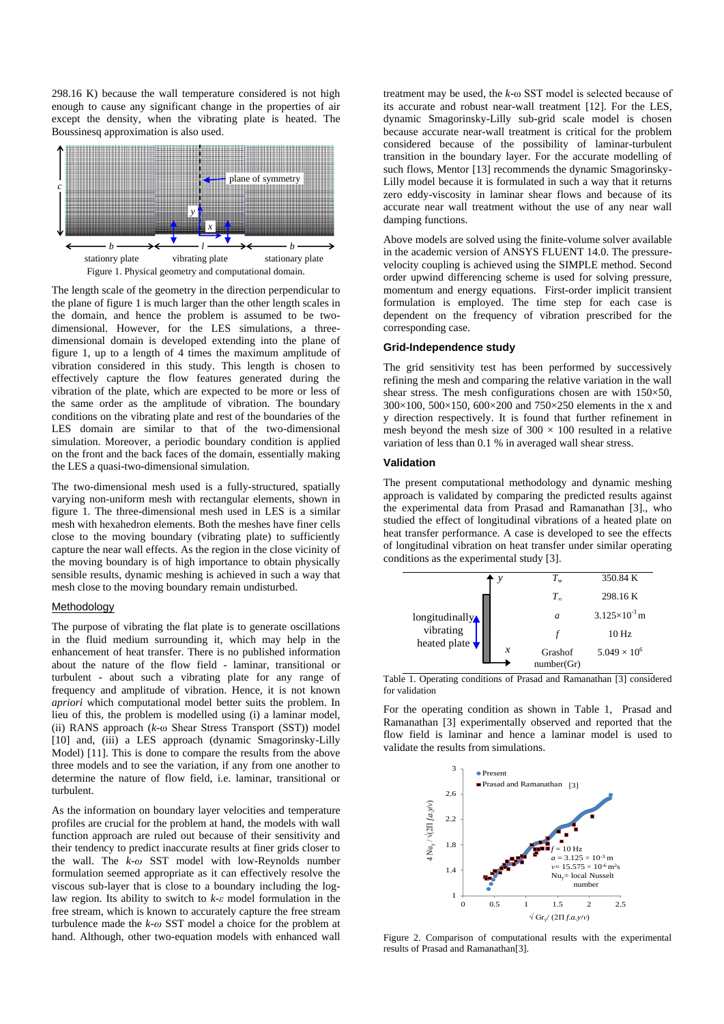298.16 K) because the wall temperature considered is not high enough to cause any significant change in the properties of air except the density, when the vibrating plate is heated. The Boussinesq approximation is also used.



The length scale of the geometry in the direction perpendicular to the plane of figure 1 is much larger than the other length scales in the domain, and hence the problem is assumed to be twodimensional. However, for the LES simulations, a threedimensional domain is developed extending into the plane of figure 1, up to a length of 4 times the maximum amplitude of vibration considered in this study. This length is chosen to effectively capture the flow features generated during the vibration of the plate, which are expected to be more or less of the same order as the amplitude of vibration. The boundary conditions on the vibrating plate and rest of the boundaries of the LES domain are similar to that of the two-dimensional simulation. Moreover, a periodic boundary condition is applied on the front and the back faces of the domain, essentially making the LES a quasi-two-dimensional simulation.

The two-dimensional mesh used is a fully-structured, spatially varying non-uniform mesh with rectangular elements, shown in figure 1. The three-dimensional mesh used in LES is a similar mesh with hexahedron elements. Both the meshes have finer cells close to the moving boundary (vibrating plate) to sufficiently capture the near wall effects. As the region in the close vicinity of the moving boundary is of high importance to obtain physically sensible results, dynamic meshing is achieved in such a way that mesh close to the moving boundary remain undisturbed.

## Methodology

The purpose of vibrating the flat plate is to generate oscillations in the fluid medium surrounding it, which may help in the enhancement of heat transfer. There is no published information about the nature of the flow field - laminar, transitional or turbulent - about such a vibrating plate for any range of frequency and amplitude of vibration. Hence, it is not known *apriori* which computational model better suits the problem. In lieu of this, the problem is modelled using (i) a laminar model, (ii) RANS approach (*k-*ω Shear Stress Transport (SST)) model [10] and, (iii) a LES approach (dynamic Smagorinsky-Lilly Model) [11]. This is done to compare the results from the above three models and to see the variation, if any from one another to determine the nature of flow field, i.e. laminar, transitional or turbulent.

As the information on boundary layer velocities and temperature profiles are crucial for the problem at hand, the models with wall function approach are ruled out because of their sensitivity and their tendency to predict inaccurate results at finer grids closer to the wall. The *k-ω* SST model with low-Reynolds number formulation seemed appropriate as it can effectively resolve the viscous sub-layer that is close to a boundary including the loglaw region. Its ability to switch to *k*-*ε* model formulation in the free stream, which is known to accurately capture the free stream turbulence made the *k-ω* SST model a choice for the problem at hand. Although, other two-equation models with enhanced wall

treatment may be used, the *k-*ω SST model is selected because of its accurate and robust near-wall treatment [12]. For the LES, dynamic Smagorinsky-Lilly sub-grid scale model is chosen because accurate near-wall treatment is critical for the problem considered because of the possibility of laminar-turbulent transition in the boundary layer. For the accurate modelling of such flows, Mentor [13] recommends the dynamic Smagorinsky-Lilly model because it is formulated in such a way that it returns zero eddy-viscosity in laminar shear flows and because of its accurate near wall treatment without the use of any near wall damping functions.

Above models are solved using the finite-volume solver available in the academic version of ANSYS FLUENT 14.0. The pressurevelocity coupling is achieved using the SIMPLE method. Second order upwind differencing scheme is used for solving pressure, momentum and energy equations. First-order implicit transient formulation is employed. The time step for each case is dependent on the frequency of vibration prescribed for the corresponding case.

## **Grid-Independence study**

The grid sensitivity test has been performed by successively refining the mesh and comparing the relative variation in the wall shear stress. The mesh configurations chosen are with 150×50, 300×100, 500×150, 600×200 and 750×250 elements in the x and y direction respectively. It is found that further refinement in mesh beyond the mesh size of  $300 \times 100$  resulted in a relative variation of less than 0.1 % in averaged wall shear stress.

## **Validation**

The present computational methodology and dynamic meshing approach is validated by comparing the predicted results against the experimental data from Prasad and Ramanathan [3]., who studied the effect of longitudinal vibrations of a heated plate on heat transfer performance. A case is developed to see the effects of longitudinal vibration on heat transfer under similar operating conditions as the experimental study [3].



Table 1. Operating conditions of Prasad and Ramanathan [3] considered for validation

For the operating condition as shown in Table 1, Prasad and Ramanathan [3] experimentally observed and reported that the flow field is laminar and hence a laminar model is used to validate the results from simulations.



Figure 2. Comparison of computational results with the experimental results of Prasad and Ramanathan[3].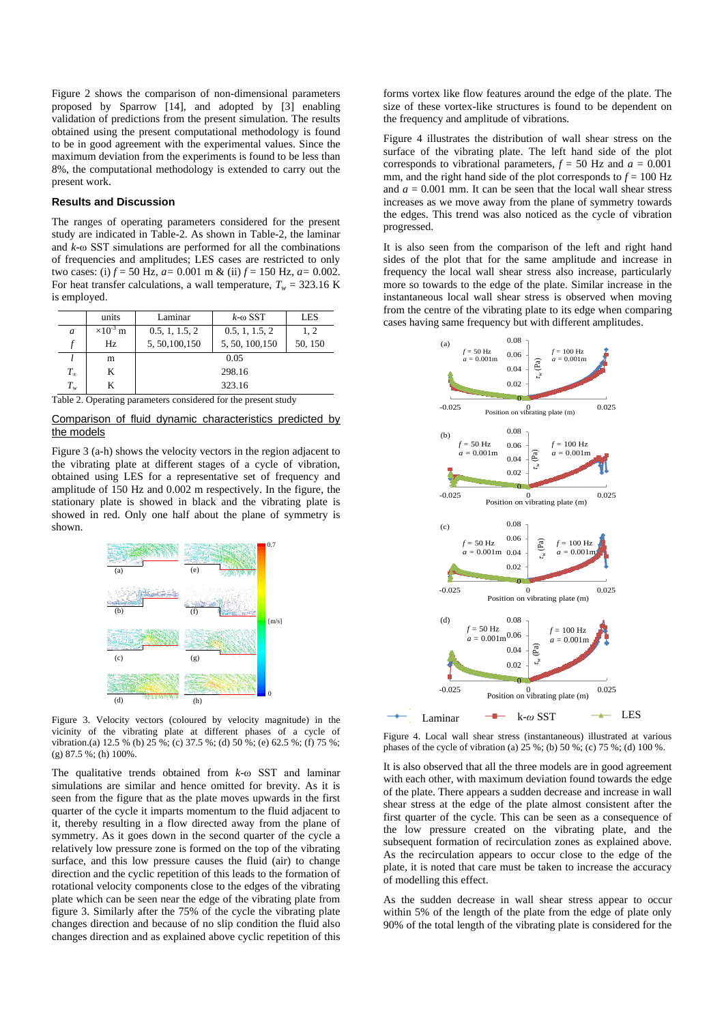Figure 2 shows the comparison of non-dimensional parameters proposed by Sparrow [14], and adopted by [3] enabling validation of predictions from the present simulation. The results obtained using the present computational methodology is found to be in good agreement with the experimental values. Since the maximum deviation from the experiments is found to be less than 8%, the computational methodology is extended to carry out the present work.

#### **Results and Discussion**

The ranges of operating parameters considered for the present study are indicated in Table-2. As shown in Table-2, the laminar and *k-*ω SST simulations are performed for all the combinations of frequencies and amplitudes; LES cases are restricted to only two cases: (i) *f* = 50 Hz, *a=* 0.001 m & (ii) *f* = 150 Hz, *a=* 0.002. For heat transfer calculations, a wall temperature,  $T_w = 323.16 \text{ K}$ is employed.

|                  | units              | Laminar         | $k$ - $\omega$ SST | <b>LES</b> |
|------------------|--------------------|-----------------|--------------------|------------|
| a                | $\times 10^{-3}$ m | 0.5, 1, 1.5, 2  | 0.5, 1, 1.5, 2     | 1.2        |
|                  | Hz                 | 5, 50, 100, 150 | 5, 50, 100, 150    | 50, 150    |
|                  | m                  | 0.05            |                    |            |
| $T_{\infty}$     | K                  | 298.16          |                    |            |
| $T_{\mathrm{w}}$ | K                  | 323.16          |                    |            |

Table 2. Operating parameters considered for the present study

### Comparison of fluid dynamic characteristics predicted by the models

Figure 3 (a-h) shows the velocity vectors in the region adjacent to the vibrating plate at different stages of a cycle of vibration, obtained using LES for a representative set of frequency and amplitude of 150 Hz and 0.002 m respectively. In the figure, the stationary plate is showed in black and the vibrating plate is showed in red. Only one half about the plane of symmetry is shown.



Figure 3. Velocity vectors (coloured by velocity magnitude) in the vicinity of the vibrating plate at different phases of a cycle of vibration.(a) 12.5 % (b) 25 %; (c) 37.5 %; (d) 50 %; (e) 62.5 %; (f) 75 %; (g) 87.5 %; (h) 100%.

The qualitative trends obtained from *k-*ω SST and laminar simulations are similar and hence omitted for brevity. As it is seen from the figure that as the plate moves upwards in the first quarter of the cycle it imparts momentum to the fluid adjacent to it, thereby resulting in a flow directed away from the plane of symmetry. As it goes down in the second quarter of the cycle a relatively low pressure zone is formed on the top of the vibrating surface, and this low pressure causes the fluid (air) to change direction and the cyclic repetition of this leads to the formation of rotational velocity components close to the edges of the vibrating plate which can be seen near the edge of the vibrating plate from figure 3. Similarly after the 75% of the cycle the vibrating plate changes direction and because of no slip condition the fluid also changes direction and as explained above cyclic repetition of this

forms vortex like flow features around the edge of the plate. The size of these vortex-like structures is found to be dependent on the frequency and amplitude of vibrations.

Figure 4 illustrates the distribution of wall shear stress on the surface of the vibrating plate. The left hand side of the plot corresponds to vibrational parameters,  $f = 50$  Hz and  $a = 0.001$ mm, and the right hand side of the plot corresponds to  $f = 100$  Hz and  $a = 0.001$  mm. It can be seen that the local wall shear stress increases as we move away from the plane of symmetry towards the edges. This trend was also noticed as the cycle of vibration progressed.

It is also seen from the comparison of the left and right hand sides of the plot that for the same amplitude and increase in frequency the local wall shear stress also increase, particularly more so towards to the edge of the plate. Similar increase in the instantaneous local wall shear stress is observed when moving from the centre of the vibrating plate to its edge when comparing cases having same frequency but with different amplitudes.



Figure 4. Local wall shear stress (instantaneous) illustrated at various phases of the cycle of vibration (a) 25 %; (b) 50 %; (c) 75 %; (d) 100 %.

It is also observed that all the three models are in good agreement with each other, with maximum deviation found towards the edge of the plate. There appears a sudden decrease and increase in wall shear stress at the edge of the plate almost consistent after the first quarter of the cycle. This can be seen as a consequence of the low pressure created on the vibrating plate, and the subsequent formation of recirculation zones as explained above. As the recirculation appears to occur close to the edge of the plate, it is noted that care must be taken to increase the accuracy of modelling this effect.

As the sudden decrease in wall shear stress appear to occur within 5% of the length of the plate from the edge of plate only 90% of the total length of the vibrating plate is considered for the